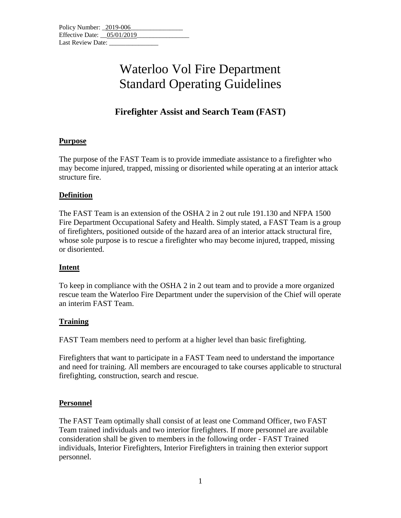### **Firefighter Assist and Search Team (FAST)**

### **Purpose**

The purpose of the FAST Team is to provide immediate assistance to a firefighter who may become injured, trapped, missing or disoriented while operating at an interior attack structure fire.

### **Definition**

The FAST Team is an extension of the OSHA 2 in 2 out rule 191.130 and NFPA 1500 Fire Department Occupational Safety and Health. Simply stated, a FAST Team is a group of firefighters, positioned outside of the hazard area of an interior attack structural fire, whose sole purpose is to rescue a firefighter who may become injured, trapped, missing or disoriented.

### **Intent**

To keep in compliance with the OSHA 2 in 2 out team and to provide a more organized rescue team the Waterloo Fire Department under the supervision of the Chief will operate an interim FAST Team.

### **Training**

FAST Team members need to perform at a higher level than basic firefighting.

Firefighters that want to participate in a FAST Team need to understand the importance and need for training. All members are encouraged to take courses applicable to structural firefighting, construction, search and rescue.

### **Personnel**

The FAST Team optimally shall consist of at least one Command Officer, two FAST Team trained individuals and two interior firefighters. If more personnel are available consideration shall be given to members in the following order - FAST Trained individuals, Interior Firefighters, Interior Firefighters in training then exterior support personnel.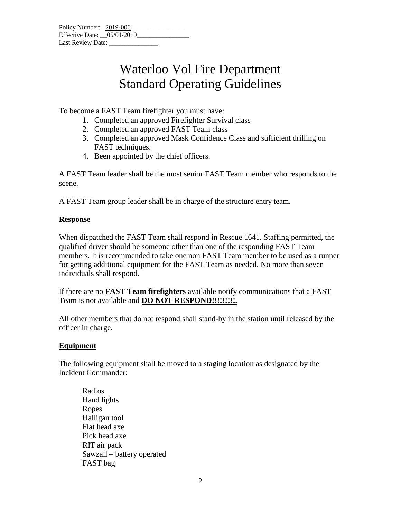| Policy Number: 2019-006      |  |
|------------------------------|--|
| Effective Date: $05/01/2019$ |  |
| Last Review Date:            |  |

To become a FAST Team firefighter you must have:

- 1. Completed an approved Firefighter Survival class
- 2. Completed an approved FAST Team class
- 3. Completed an approved Mask Confidence Class and sufficient drilling on FAST techniques.
- 4. Been appointed by the chief officers.

A FAST Team leader shall be the most senior FAST Team member who responds to the scene.

A FAST Team group leader shall be in charge of the structure entry team.

#### **Response**

When dispatched the FAST Team shall respond in Rescue 1641. Staffing permitted, the qualified driver should be someone other than one of the responding FAST Team members. It is recommended to take one non FAST Team member to be used as a runner for getting additional equipment for the FAST Team as needed. No more than seven individuals shall respond.

If there are no **FAST Team firefighters** available notify communications that a FAST Team is not available and **DO NOT RESPOND!!!!!!!!!.** 

All other members that do not respond shall stand-by in the station until released by the officer in charge.

### **Equipment**

The following equipment shall be moved to a staging location as designated by the Incident Commander:

Radios Hand lights Ropes Halligan tool Flat head axe Pick head axe RIT air pack Sawzall – battery operated FAST bag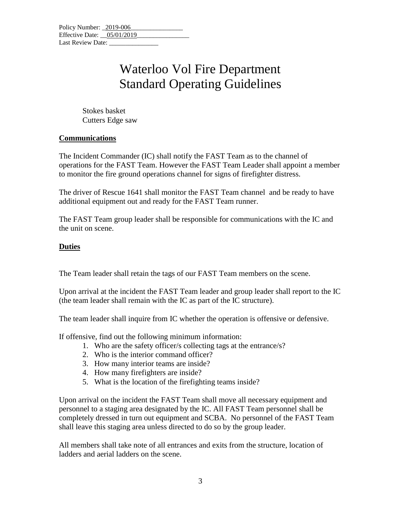Stokes basket Cutters Edge saw

### **Communications**

The Incident Commander (IC) shall notify the FAST Team as to the channel of operations for the FAST Team. However the FAST Team Leader shall appoint a member to monitor the fire ground operations channel for signs of firefighter distress.

The driver of Rescue 1641 shall monitor the FAST Team channel and be ready to have additional equipment out and ready for the FAST Team runner.

The FAST Team group leader shall be responsible for communications with the IC and the unit on scene.

### **Duties**

The Team leader shall retain the tags of our FAST Team members on the scene.

Upon arrival at the incident the FAST Team leader and group leader shall report to the IC (the team leader shall remain with the IC as part of the IC structure).

The team leader shall inquire from IC whether the operation is offensive or defensive.

If offensive, find out the following minimum information:

- 1. Who are the safety officer/s collecting tags at the entrance/s?
- 2. Who is the interior command officer?
- 3. How many interior teams are inside?
- 4. How many firefighters are inside?
- 5. What is the location of the firefighting teams inside?

Upon arrival on the incident the FAST Team shall move all necessary equipment and personnel to a staging area designated by the IC. All FAST Team personnel shall be completely dressed in turn out equipment and SCBA. No personnel of the FAST Team shall leave this staging area unless directed to do so by the group leader.

All members shall take note of all entrances and exits from the structure, location of ladders and aerial ladders on the scene.